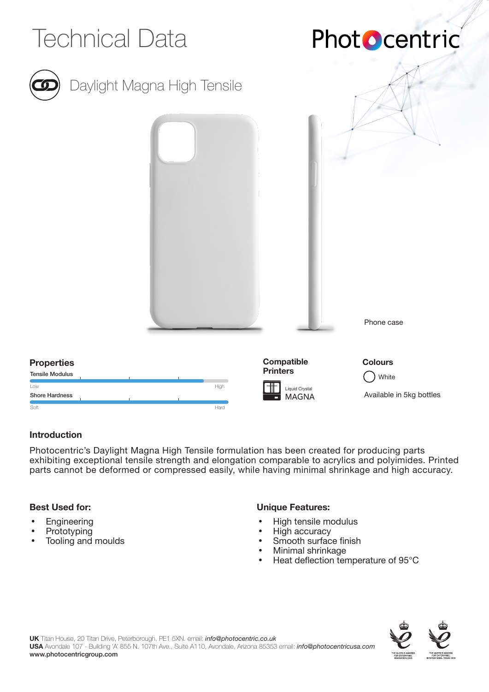

### **Introduction**

Photocentric's Daylight Magna High Tensile formulation has been created for producing parts exhibiting exceptional tensile strength and elongation comparable to acrylics and polyimides. Printed parts cannot be deformed or compressed easily, while having minimal shrinkage and high accuracy.

### **Best Used for:**

- **Engineering**
- **Prototyping**
- Tooling and moulds

# **Unique Features:**

- High tensile modulus
- High accuracy
- Smooth surface finish
- Minimal shrinkage
- Heat deflection temperature of 95°C